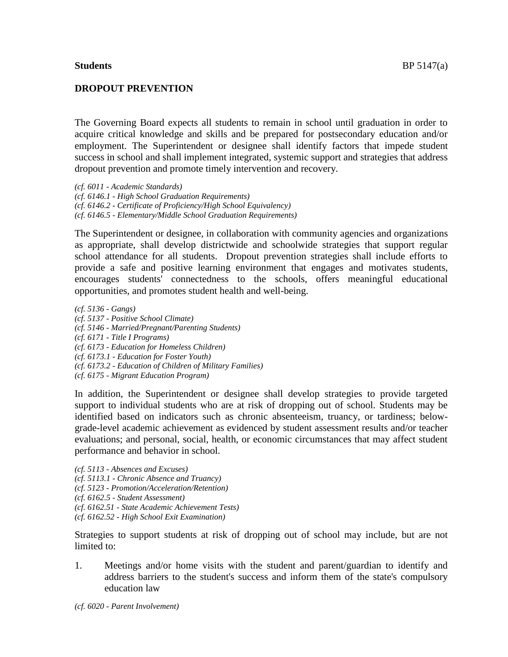## **Students** BP 5147(a)

## **DROPOUT PREVENTION**

The Governing Board expects all students to remain in school until graduation in order to acquire critical knowledge and skills and be prepared for postsecondary education and/or employment. The Superintendent or designee shall identify factors that impede student success in school and shall implement integrated, systemic support and strategies that address dropout prevention and promote timely intervention and recovery.

*(cf. 6011 - Academic Standards) (cf. 6146.1 - High School Graduation Requirements) (cf. 6146.2 - Certificate of Proficiency/High School Equivalency) (cf. 6146.5 - Elementary/Middle School Graduation Requirements)*

The Superintendent or designee, in collaboration with community agencies and organizations as appropriate, shall develop districtwide and schoolwide strategies that support regular school attendance for all students. Dropout prevention strategies shall include efforts to provide a safe and positive learning environment that engages and motivates students, encourages students' connectedness to the schools, offers meaningful educational opportunities, and promotes student health and well-being.

*(cf. 5136 - Gangs) (cf. 5137 - Positive School Climate) (cf. 5146 - Married/Pregnant/Parenting Students) (cf. 6171 - Title I Programs) (cf. 6173 - Education for Homeless Children) (cf. 6173.1 - Education for Foster Youth) (cf. 6173.2 - Education of Children of Military Families) (cf. 6175 - Migrant Education Program)*

In addition, the Superintendent or designee shall develop strategies to provide targeted support to individual students who are at risk of dropping out of school. Students may be identified based on indicators such as chronic absenteeism, truancy, or tardiness; belowgrade-level academic achievement as evidenced by student assessment results and/or teacher evaluations; and personal, social, health, or economic circumstances that may affect student performance and behavior in school.

*(cf. 5113 - Absences and Excuses) (cf. 5113.1 - Chronic Absence and Truancy) (cf. 5123 - Promotion/Acceleration/Retention) (cf. 6162.5 - Student Assessment) (cf. 6162.51 - State Academic Achievement Tests) (cf. 6162.52 - High School Exit Examination)*

Strategies to support students at risk of dropping out of school may include, but are not limited to:

1. Meetings and/or home visits with the student and parent/guardian to identify and address barriers to the student's success and inform them of the state's compulsory education law

*(cf. 6020 - Parent Involvement)*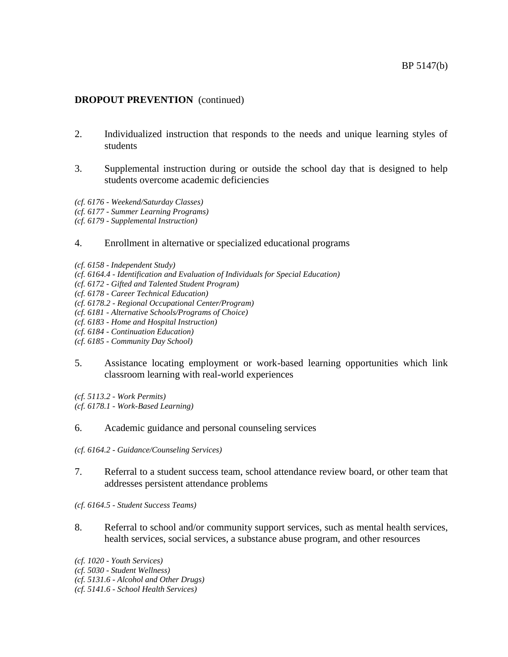## **DROPOUT PREVENTION** (continued)

- 2. Individualized instruction that responds to the needs and unique learning styles of students
- 3. Supplemental instruction during or outside the school day that is designed to help students overcome academic deficiencies
- *(cf. 6176 - Weekend/Saturday Classes)*
- *(cf. 6177 - Summer Learning Programs)*
- *(cf. 6179 - Supplemental Instruction)*

## 4. Enrollment in alternative or specialized educational programs

- *(cf. 6158 - Independent Study)*
- *(cf. 6164.4 - Identification and Evaluation of Individuals for Special Education)*
- *(cf. 6172 - Gifted and Talented Student Program)*
- *(cf. 6178 - Career Technical Education)*
- *(cf. 6178.2 - Regional Occupational Center/Program)*
- *(cf. 6181 - Alternative Schools/Programs of Choice)*
- *(cf. 6183 - Home and Hospital Instruction)*
- *(cf. 6184 - Continuation Education)*
- *(cf. 6185 - Community Day School)*
- 5. Assistance locating employment or work-based learning opportunities which link classroom learning with real-world experiences

*(cf. 5113.2 - Work Permits) (cf. 6178.1 - Work-Based Learning)*

## 6. Academic guidance and personal counseling services

- *(cf. 6164.2 - Guidance/Counseling Services)*
- 7. Referral to a student success team, school attendance review board, or other team that addresses persistent attendance problems

*(cf. 6164.5 - Student Success Teams)*

8. Referral to school and/or community support services, such as mental health services, health services, social services, a substance abuse program, and other resources

*(cf. 1020 - Youth Services)*

- *(cf. 5030 - Student Wellness)*
- *(cf. 5131.6 - Alcohol and Other Drugs)*

*(cf. 5141.6 - School Health Services)*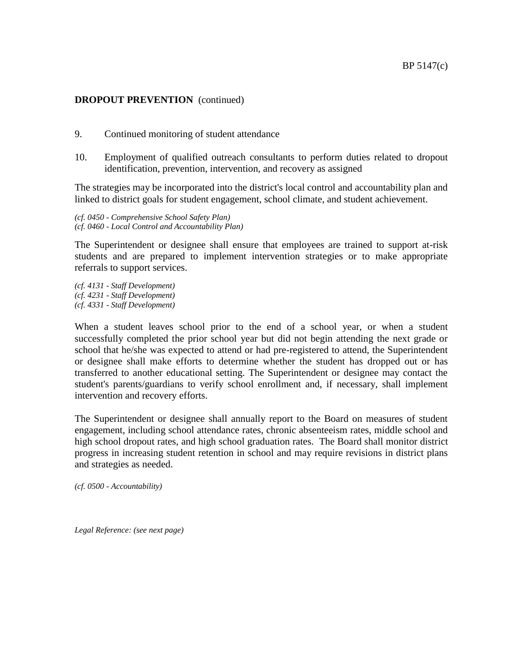# **DROPOUT PREVENTION** (continued)

- 9. Continued monitoring of student attendance
- 10. Employment of qualified outreach consultants to perform duties related to dropout identification, prevention, intervention, and recovery as assigned

The strategies may be incorporated into the district's local control and accountability plan and linked to district goals for student engagement, school climate, and student achievement.

*(cf. 0450 - Comprehensive School Safety Plan) (cf. 0460 - Local Control and Accountability Plan)*

The Superintendent or designee shall ensure that employees are trained to support at-risk students and are prepared to implement intervention strategies or to make appropriate referrals to support services.

*(cf. 4131 - Staff Development) (cf. 4231 - Staff Development) (cf. 4331 - Staff Development)*

When a student leaves school prior to the end of a school year, or when a student successfully completed the prior school year but did not begin attending the next grade or school that he/she was expected to attend or had pre-registered to attend, the Superintendent or designee shall make efforts to determine whether the student has dropped out or has transferred to another educational setting. The Superintendent or designee may contact the student's parents/guardians to verify school enrollment and, if necessary, shall implement intervention and recovery efforts.

The Superintendent or designee shall annually report to the Board on measures of student engagement, including school attendance rates, chronic absenteeism rates, middle school and high school dropout rates, and high school graduation rates. The Board shall monitor district progress in increasing student retention in school and may require revisions in district plans and strategies as needed.

*(cf. 0500 - Accountability)*

*Legal Reference: (see next page)*